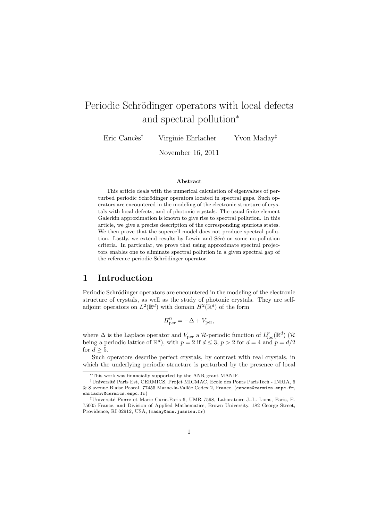# Periodic Schrödinger operators with local defects and spectral pollution<sup>∗</sup>

Eric Cancès<sup>†</sup> Virginie Ehrlacher Yvon Maday<sup>‡</sup>

November 16, 2011

#### Abstract

This article deals with the numerical calculation of eigenvalues of perturbed periodic Schrödinger operators located in spectral gaps. Such operators are encountered in the modeling of the electronic structure of crystals with local defects, and of photonic crystals. The usual finite element Galerkin approximation is known to give rise to spectral pollution. In this article, we give a precise description of the corresponding spurious states. We then prove that the supercell model does not produce spectral pollution. Lastly, we extend results by Lewin and Séré on some no-pollution criteria. In particular, we prove that using approximate spectral projectors enables one to eliminate spectral pollution in a given spectral gap of the reference periodic Schrödinger operator.

#### 1 Introduction

Periodic Schrödinger operators are encountered in the modeling of the electronic structure of crystals, as well as the study of photonic crystals. They are selfadjoint operators on  $L^2(\mathbb{R}^d)$  with domain  $H^2(\mathbb{R}^d)$  of the form

$$
H_{\text{per}}^0 = -\Delta + V_{\text{per}},
$$

where  $\Delta$  is the Laplace operator and  $V_{\text{per}}$  a R-periodic function of  $L_{\text{loc}}^p(\mathbb{R}^d)$  (R being a periodic lattice of  $\mathbb{R}^d$ ), with  $p = 2$  if  $d \leq 3$ ,  $p > 2$  for  $d = 4$  and  $p = d/2$ for  $d > 5$ .

Such operators describe perfect crystals, by contrast with real crystals, in which the underlying periodic structure is perturbed by the presence of local

<sup>∗</sup>This work was financially supported by the ANR grant MANIF.

<sup>†</sup>Universit´e Paris Est, CERMICS, Projet MICMAC, Ecole des Ponts ParisTech - INRIA, 6 & 8 avenue Blaise Pascal, 77455 Marne-la-Vallèe Cedex 2, France, (cances@cermics.enpc.fr, ehrlachv@cermics.enpc.fr)

<sup>‡</sup>Universit´e Pierre et Marie Curie-Paris 6, UMR 7598, Laboratoire J.-L. Lions, Paris, F-75005 France, and Division of Applied Mathematics, Brown University, 182 George Street, Providence, RI 02912, USA, (maday@ann.jussieu.fr)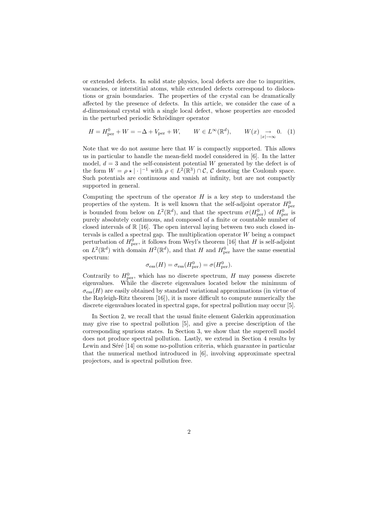or extended defects. In solid state physics, local defects are due to impurities, vacancies, or interstitial atoms, while extended defects correspond to dislocations or grain boundaries. The properties of the crystal can be dramatically affected by the presence of defects. In this article, we consider the case of a d-dimensional crystal with a single local defect, whose properties are encoded in the perturbed periodic Schrödinger operator

$$
H = H_{\text{per}}^0 + W = -\Delta + V_{\text{per}} + W, \qquad W \in L^{\infty}(\mathbb{R}^d), \qquad W(x) \underset{|x| \to \infty}{\to} 0. \tag{1}
$$

Note that we do not assume here that  $W$  is compactly supported. This allows us in particular to handle the mean-field model considered in [6]. In the latter model,  $d = 3$  and the self-consistent potential W generated by the defect is of the form  $W = \rho \star |\cdot|^{-1}$  with  $\rho \in L^2(\mathbb{R}^3) \cap \mathcal{C}, \mathcal{C}$  denoting the Coulomb space. Such potentials are continuous and vanish at infinity, but are not compactly supported in general.

Computing the spectrum of the operator  $H$  is a key step to understand the properties of the system. It is well known that the self-adjoint operator  $H_{\text{per}}^0$ is bounded from below on  $L^2(\mathbb{R}^d)$ , and that the spectrum  $\sigma(H_{\text{per}}^0)$  of  $H_{\text{per}}^0$  is purely absolutely continuous, and composed of a finite or countable number of closed intervals of  $\mathbb{R}$  [16]. The open interval laying between two such closed intervals is called a spectral gap. The multiplication operator  $W$  being a compact perturbation of  $H_{\text{per}}^0$ , it follows from Weyl's theorem [16] that H is self-adjoint on  $L^2(\mathbb{R}^d)$  with domain  $H^2(\mathbb{R}^d)$ , and that H and  $H_{\text{per}}^0$  have the same essential spectrum:

$$
\sigma_{\rm ess}(H) = \sigma_{\rm ess}(H_{\rm per}^0) = \sigma(H_{\rm per}^0).
$$

Contrarily to  $H_{\text{per}}^0$ , which has no discrete spectrum, H may possess discrete eigenvalues. While the discrete eigenvalues located below the minimum of  $\sigma_{\text{ess}}(H)$  are easily obtained by standard variational approximations (in virtue of the Rayleigh-Ritz theorem [16]), it is more difficult to compute numerically the discrete eigenvalues located in spectral gaps, for spectral pollution may occur [5].

In Section 2, we recall that the usual finite element Galerkin approximation may give rise to spectral pollution [5], and give a precise description of the corresponding spurious states. In Section 3, we show that the supercell model does not produce spectral pollution. Lastly, we extend in Section 4 results by Lewin and Seré  $|14|$  on some no-pollution criteria, which guarantee in particular that the numerical method introduced in [6], involving approximate spectral projectors, and is spectral pollution free.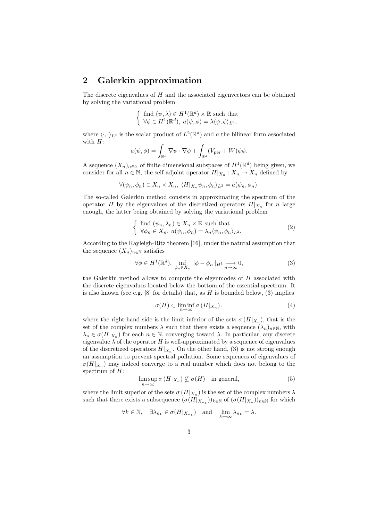#### 2 Galerkin approximation

The discrete eigenvalues of  $H$  and the associated eigenvectors can be obtained by solving the variational problem

$$
\left\{\begin{array}{l} \text{find }(\psi,\lambda)\in H^1(\mathbb{R}^d)\times\mathbb{R} \text{ such that } \\ \forall \phi\in H^1(\mathbb{R}^d),\ a(\psi,\phi)=\lambda\langle\psi,\phi\rangle_{L^2},\end{array}\right.
$$

where  $\langle \cdot, \cdot \rangle_{L^2}$  is the scalar product of  $L^2(\mathbb{R}^d)$  and a the bilinear form associated with  $H$ :

$$
a(\psi, \phi) = \int_{\mathbb{R}^d} \nabla \psi \cdot \nabla \phi + \int_{\mathbb{R}^d} (V_{\text{per}} + W) \psi \phi.
$$

A sequence  $(X_n)_{n\in\mathbb{N}}$  of finite dimensional subspaces of  $H^1(\mathbb{R}^d)$  being given, we consider for all  $n \in \mathbb{N}$ , the self-adjoint operator  $H|_{X_n}: X_n \to X_n$  defined by

$$
\forall (\psi_n, \phi_n) \in X_n \times X_n, \ \langle H|_{X_n} \psi_n, \phi_n \rangle_{L^2} = a(\psi_n, \phi_n).
$$

The so-called Galerkin method consists in approximating the spectrum of the operator H by the eigenvalues of the discretized operators  $H|_{X_n}$  for n large enough, the latter being obtained by solving the variational problem

$$
\begin{cases} \text{find } (\psi_n, \lambda_n) \in X_n \times \mathbb{R} \text{ such that} \\ \forall \phi_n \in X_n, a(\psi_n, \phi_n) = \lambda_n \langle \psi_n, \phi_n \rangle_{L^2}. \end{cases} \tag{2}
$$

According to the Rayleigh-Ritz theorem [16], under the natural assumption that the sequence  $(X_n)_{n\in\mathbb{N}}$  satisfies

$$
\forall \phi \in H^{1}(\mathbb{R}^{d}), \inf_{\phi_{n} \in X_{n}} \|\phi - \phi_{n}\|_{H^{1}} \underset{n \to \infty}{\longrightarrow} 0, \tag{3}
$$

the Galerkin method allows to compute the eigenmodes of H associated with the discrete eigenvalues located below the bottom of the essential spectrum. It is also known (see e.g.  $[8]$  for details) that, as H is bounded below, (3) implies

$$
\sigma(H) \subset \liminf_{n \to \infty} \sigma(H|_{X_n}), \tag{4}
$$

where the right-hand side is the limit inferior of the sets  $\sigma(H|_{X_n})$ , that is the set of the complex numbers  $\lambda$  such that there exists a sequence  $(\lambda_n)_{n\in\mathbb{N}}$ , with  $\lambda_n \in \sigma(H|_{X_n})$  for each  $n \in \mathbb{N}$ , converging toward  $\lambda$ . In particular, any discrete eigenvalue  $\lambda$  of the operator H is well-approximated by a sequence of eigenvalues of the discretized operators  $H|_{X_n}$ . On the other hand, (3) is not strong enough an assumption to prevent spectral pollution. Some sequences of eigenvalues of  $\sigma(H|_{X_n})$  may indeed converge to a real number which does not belong to the spectrum of  $H$ :

$$
\limsup_{n \to \infty} \sigma(H|_{X_n}) \nsubseteq \sigma(H) \quad \text{in general}, \tag{5}
$$

where the limit superior of the sets  $\sigma(H|_{X_n})$  is the set of the complex numbers  $\lambda$ such that there exists a subsequence  $(\sigma(H|_{X_{n_k}}))_{k \in \mathbb{N}}$  of  $(\sigma(H|_{X_n}))_{n \in \mathbb{N}}$  for which

$$
\forall k\in\mathbb{N},\quad \exists \lambda_{n_k}\in\sigma(H|_{X_{n_k}})\quad\text{and}\quad\lim_{k\to\infty}\lambda_{n_k}=\lambda.
$$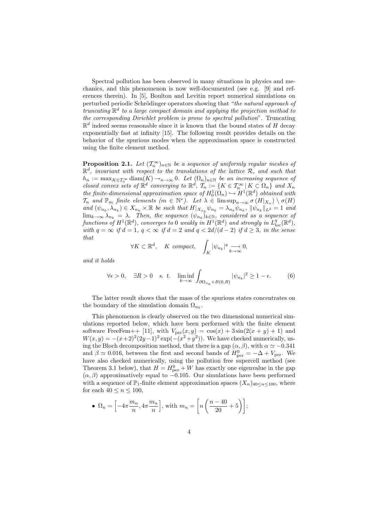Spectral pollution has been observed in many situations in physics and mechanics, and this phenomenon is now well-documented (see e.g. [9] and references therein). In [5], Boulton and Levitin report numerical simulations on perturbed periodic Schrödinger operators showing that "*the natural approach of truncating* R d *to a large compact domain and applying the projection method to the corresponding Dirichlet problem is prone to spectral pollution*". Truncating  $\mathbb{R}^d$  indeed seems reasonable since it is known that the bound states of H decay exponentially fast at infinity [15]. The following result provides details on the behavior of the spurious modes when the approximation space is constructed using the finite element method.

**Proposition 2.1.** Let  $(T_n^{\infty})_{n \in \mathbb{N}}$  be a sequence of uniformly regular meshes of  $\mathbb{R}^d$ , invariant with respect to the translations of the lattice  $\mathcal{R}$ , and such that  $h_n := \max_{K \in \mathcal{T}_n^{\infty}} \text{diam}(K) \rightarrow_{n \to \infty} 0$ . Let  $(\Omega_n)_{n \in \mathbb{N}}$  be an increasing sequence of *closed convex sets of*  $\mathbb{R}^d$  *converging to*  $\mathbb{R}^d$ *,*  $\mathcal{T}_n := \{ K \in \mathcal{T}_n^{\infty} \mid K \subset \Omega_n \}$  *and*  $X_n$ *the finite-dimensional approximation space of*  $H_0^1(\Omega_n) \hookrightarrow H^1(\mathbb{R}^d)$  *obtained with*  $\mathcal{T}_n$  and  $\mathbb{P}_m$  finite elements  $(m \in \mathbb{N}^*)$ . Let  $\lambda \in \limsup_{n \to \infty} \sigma(H|_{X_n}) \setminus \sigma(H)$  $\mathcal{L}$  and  $(\psi_{n_k}, \lambda_{n_k}) \in X_{n_k} \times \mathbb{R}$  be such that  $H|_{X_{n_k}} \psi_{n_k} = \lambda_{n_k} \psi_{n_k}$ ,  $\|\psi_{n_k}\|_{L^2} = 1$  and  $\lim_{k\to\infty}\lambda_{n_k} = \lambda$ . Then, the sequence  $(\psi_{n_k})_{k\in\mathbb{N}}$ , considered as a sequence of  $\hat{f}$  *functions of*  $H^1(\mathbb{R}^d)$ *, converges to* 0 *weakly in*  $H^1(\mathbb{R}^d)$  *and strongly in*  $L^q_{\text{loc}}(\mathbb{R}^d)$ *, with*  $q = \infty$  *if*  $d = 1$ ,  $q < \infty$  *if*  $d = 2$  *and*  $q < 2d/(d-2)$  *if*  $d > 3$ *, in the sense that*

$$
\forall K \subset \mathbb{R}^d, \quad K \text{ compact}, \quad \int_K |\psi_{n_k}|^q \underset{k \to \infty}{\longrightarrow} 0,
$$

*and it holds*

$$
\forall \epsilon > 0, \quad \exists R > 0 \quad s. \quad t. \quad \liminf_{k \to \infty} \int_{\partial \Omega_{n_k} + B(0,R)} |\psi_{n_k}|^2 \ge 1 - \epsilon. \tag{6}
$$

The latter result shows that the mass of the spurious states concentrates on the boundary of the simulation domain  $\Omega_{n_k}$ .

This phenomenon is clearly observed on the two dimensional numerical simulations reported below, which have been performed with the finite element software FreeFem++ [11], with  $V_{\text{per}}(x,y) = \cos(x) + 3\sin(2(x+y) + 1)$  and  $W(x,y) = -(x+2)^2(2y-1)^2 \exp(-(x^2+y^2))$ . We have checked numerically, using the Bloch decomposition method, that there is a gap  $(\alpha, \beta)$ , with  $\alpha \simeq -0.341$ and  $\beta \simeq 0.016$ , between the first and second bands of  $H_{\text{per}}^0 = -\Delta + V_{\text{per}}$ . We have also checked numerically, using the pollution free supercell method (see Theorem 3.1 below), that  $H = H_{\text{per}}^0 + W$  has exactly one eigenvalue in the gap  $(\alpha, \beta)$  approximatively equal to  $-0.105$ . Our simulations have been performed with a sequence of  $\mathbb{P}_1$ -finite element approximation spaces  $(X_n)_{40 \leq n \leq 100}$ , where for each  $40 \leq n \leq 100$ ,

• 
$$
\Omega_n = \left[ -4\pi \frac{m_n}{n}, 4\pi \frac{m_n}{n} \right]
$$
, with  $m_n = \left[ n \left( \frac{n-40}{20} + 5 \right) \right]$ ;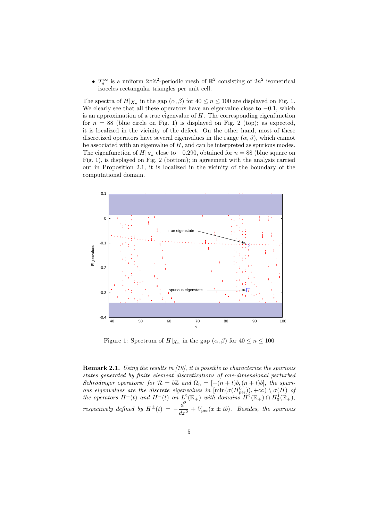•  $\mathcal{T}_n^{\infty}$  is a uniform  $2\pi\mathbb{Z}^2$ -periodic mesh of  $\mathbb{R}^2$  consisting of  $2n^2$  isometrical isoceles rectangular triangles per unit cell.

The spectra of  $H|_{X_n}$  in the gap  $(\alpha, \beta)$  for  $40 \le n \le 100$  are displayed on Fig. 1. We clearly see that all these operators have an eigenvalue close to  $-0.1$ , which is an approximation of a true eigenvalue of  $H$ . The corresponding eigenfunction for  $n = 88$  (blue circle on Fig. 1) is displayed on Fig. 2 (top); as expected, it is localized in the vicinity of the defect. On the other hand, most of these discretized operators have several eigenvalues in the range  $(\alpha, \beta)$ , which cannot be associated with an eigenvalue of  $H$ , and can be interpreted as spurious modes. The eigenfunction of  $H|_{X_n}$  close to  $-0.290$ , obtained for  $n = 88$  (blue square on Fig. 1), is displayed on Fig. 2 (bottom); in agreement with the analysis carried out in Proposition 2.1, it is localized in the vicinity of the boundary of the computational domain.



Figure 1: Spectrum of  $H|_{X_n}$  in the gap  $(\alpha, \beta)$  for  $40 \le n \le 100$ 

Remark 2.1. *Using the results in [19], it is possible to characterize the spurious states generated by finite element discretizations of one-dimensional perturbed Schrödinger operators: for*  $\mathcal{R} = b\mathbb{Z}$  and  $\Omega_n = [-(n+t)b, (n+t)b]$ , the spuri*ous eigenvalues are the discrete eigenvalues in*  $[\min(\sigma(H_{\text{per}}^0)), +\infty) \setminus \sigma(H)$  *of the operators*  $H^+(t)$  *and*  $H^-(t)$  *on*  $L^2(\mathbb{R}_+)$  *with domains*  $H^2(\mathbb{R}_+) \cap H_0^1(\mathbb{R}_+),$ *respectively defined by*  $H^{\pm}(t) = -\frac{d^2}{dt^2}$  $\frac{d}{dx^2} + V_{\text{per}}(x \pm tb)$ *. Besides, the spurious*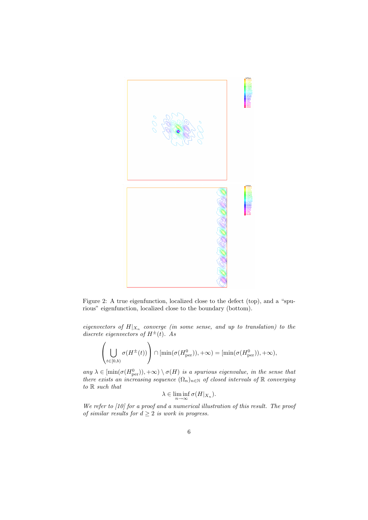

Figure 2: A true eigenfunction, localized close to the defect (top), and a "spurious" eigenfunction, localized close to the boundary (bottom).

 $eigenvectors of  $H|_{X_n}$  converge (in some sense, and up to translation) to the$ *discrete eigenvectors of*  $H^{\pm}(t)$ *. As* 

$$
\left(\bigcup_{t\in[0,b)}\sigma(H^{\pm}(t))\right)\cap[\min(\sigma(H_{\text{per}}^0)),+\infty)=[\min(\sigma(H_{\text{per}}^0)),+\infty),
$$

 $any \lambda \in [\min(\sigma(H_{\text{per}}^0)), +\infty) \setminus \sigma(H)$  *is a spurious eigenvalue, in the sense that there exists an increasing sequence*  $(\Omega_n)_{n \in \mathbb{N}}$  *of closed intervals of*  $\mathbb{R}$  *converging to* R *such that*

$$
\lambda \in \liminf_{n \to \infty} \sigma(H|_{X_n}).
$$

*We refer to [10] for a proof and a numerical illustration of this result. The proof of similar results for*  $d \geq 2$  *is work in progress.*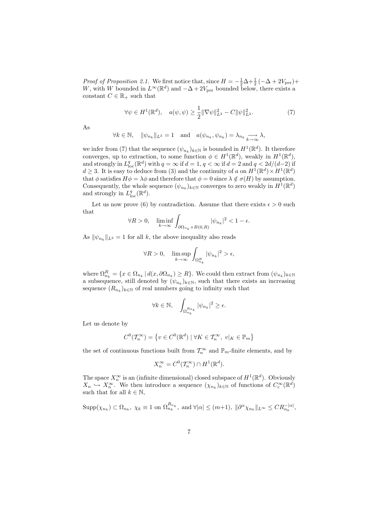*Proof of Proposition 2.1.* We first notice that, since  $H = -\frac{1}{2}\Delta + \frac{1}{2}(-\Delta + 2V_{\text{per}}) +$ W, with W bounded in  $L^{\infty}(\mathbb{R}^d)$  and  $-\Delta + 2V_{\text{per}}$  bounded below, there exists a constant  $C \in \mathbb{R}_+$  such that

$$
\forall \psi \in H^{1}(\mathbb{R}^{d}), \quad a(\psi, \psi) \ge \frac{1}{2} \|\nabla \psi\|_{L^{2}}^{2} - C \|\psi\|_{L^{2}}^{2}.
$$
 (7)

As

$$
\forall k \in \mathbb{N}, \quad \|\psi_{n_k}\|_{L^2} = 1 \quad \text{and} \quad a(\psi_{n_k}, \psi_{n_k}) = \lambda_{n_k} \underset{k \to \infty}{\longrightarrow} \lambda,
$$

we infer from (7) that the sequence  $(\psi_{n_k})_{k \in \mathbb{N}}$  is bounded in  $H^1(\mathbb{R}^d)$ . It therefore converges, up to extraction, to some function  $\phi \in H^1(\mathbb{R}^d)$ , weakly in  $H^1(\mathbb{R}^d)$ , and strongly in  $L^q_{\text{loc}}(\mathbb{R}^d)$  with  $q = \infty$  if  $d = 1$ ,  $q < \infty$  if  $d = 2$  and  $q < 2d/(d-2)$  if  $d \geq 3$ . It is easy to deduce from (3) and the continuity of a on  $H^1(\mathbb{R}^d) \times H^1(\mathbb{R}^d)$ that  $\phi$  satisfies  $H\phi = \lambda\phi$  and therefore that  $\phi = 0$  since  $\lambda \notin \sigma(H)$  by assumption. Consequently, the whole sequence  $(\psi_{n_k})_{k \in \mathbb{N}}$  converges to zero weakly in  $H^1(\mathbb{R}^d)$ and strongly in  $L^q_{\text{loc}}(\mathbb{R}^d)$ .

Let us now prove (6) by contradiction. Assume that there exists  $\epsilon > 0$  such that

$$
\forall R > 0, \quad \liminf_{k \to \infty} \int_{\partial \Omega_{n_k} + B(0,R)} |\psi_{n_k}|^2 < 1 - \epsilon.
$$

As  $\|\psi_{n_k}\|_{L^2} = 1$  for all k, the above inequality also reads

$$
\forall R > 0, \quad \limsup_{k \to \infty} \int_{\Omega_{n_k}^R} |\psi_{n_k}|^2 > \epsilon,
$$

where  $\Omega_{n_k}^R = \{x \in \Omega_{n_k} \mid d(x, \partial \Omega_{n_k}) \ge R\}$ . We could then extract from  $(\psi_{n_k})_{k \in \mathbb{N}}$ a subsequence, still denoted by  $(\psi_{n_k})_{k \in \mathbb{N}}$ , such that there exists an increasing sequence  $(R_{n_k})_{k \in \mathbb{N}}$  of real numbers going to infinity such that

$$
\forall k \in \mathbb{N}, \quad \int_{\Omega_{n_k}^{R_{n_k}}} |\psi_{n_k}|^2 \ge \epsilon.
$$

Let us denote by

$$
C^0(\mathcal{T}_n^{\infty}) = \left\{ v \in C^0(\mathbb{R}^d) \mid \forall K \in \mathcal{T}_n^{\infty}, \ v|_K \in \mathbb{P}_m \right\}
$$

the set of continuous functions built from  $\mathcal{T}_n^{\infty}$  and  $\mathbb{P}_m$ -finite elements, and by

$$
X_n^{\infty} = C^0(\mathcal{T}_n^{\infty}) \cap H^1(\mathbb{R}^d).
$$

The space  $X_n^{\infty}$  is an (infinite dimensional) closed subspace of  $H^1(\mathbb{R}^d)$ . Obviously  $X_n \hookrightarrow X_n^{\infty}$ . We then introduce a sequence  $(\chi_{n_k})_{k \in \mathbb{N}}$  of functions of  $C_c^{\infty}(\mathbb{R}^d)$ such that for all  $k \in \mathbb{N}$ ,

$$
\operatorname{Supp}(\chi_{n_k}) \subset \Omega_{n_k}, \ \chi_k \equiv 1 \text{ on } \Omega_{n_k}^{R_{n_k}}, \text{ and } \forall |\alpha| \le (m+1), \ \|\partial^{\alpha}\chi_{n_k}\|_{L^{\infty}} \le CR_{n_k}^{-|\alpha|},
$$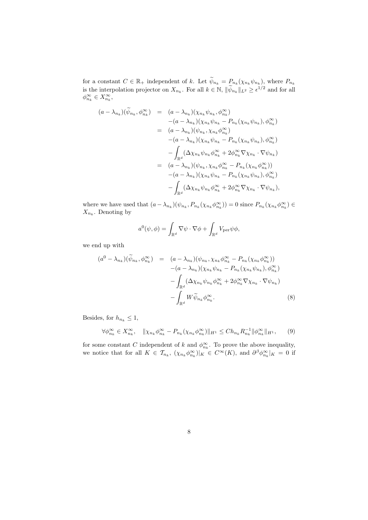for a constant  $C \in \mathbb{R}_+$  independent of k. Let  $\psi_{n_k} = P_{n_k}(\chi_{n_k} \psi_{n_k}),$  where  $P_{n_k}$ is the interpolation projector on  $X_{n_k}$ . For all  $k \in \mathbb{N}$ ,  $\|\psi_{n_k}\|_{L^2} \geq \epsilon^{1/2}$  and for all  $\phi_{n_k}^{\infty} \in X_{n_k}^{\infty}$ ,

$$
(a - \lambda_{n_k})(\widetilde{\psi}_{n_k}, \phi_{n_k}^{\infty}) = (a - \lambda_{n_k})(\chi_{n_k}\psi_{n_k}, \phi_{n_k}^{\infty})
$$
  
\n
$$
- (a - \lambda_{n_k})(\chi_{n_k}\psi_{n_k} - P_{n_k}(\chi_{n_k}\psi_{n_k}), \phi_{n_k}^{\infty})
$$
  
\n
$$
= (a - \lambda_{n_k})(\psi_{n_k}, \chi_{n_k}\phi_{n_k}^{\infty})
$$
  
\n
$$
- (a - \lambda_{n_k})(\chi_{n_k}\psi_{n_k} - P_{n_k}(\chi_{n_k}\psi_{n_k}), \phi_{n_k}^{\infty})
$$
  
\n
$$
- \int_{\mathbb{R}^d} (\Delta \chi_{n_k}\psi_{n_k}\phi_{n_k}^{\infty} + 2\phi_{n_k}^{\infty}\nabla \chi_{n_k} \cdot \nabla \psi_{n_k})
$$
  
\n
$$
= (a - \lambda_{n_k})(\psi_{n_k}, \chi_{n_k}\phi_{n_k}^{\infty} - P_{n_k}(\chi_{n_k}\phi_{n_k}^{\infty}))
$$
  
\n
$$
- (a - \lambda_{n_k})(\chi_{n_k}\psi_{n_k} - P_{n_k}(\chi_{n_k}\psi_{n_k}), \phi_{n_k}^{\infty})
$$
  
\n
$$
- \int_{\mathbb{R}^d} (\Delta \chi_{n_k}\psi_{n_k}\phi_{n_k}^{\infty} + 2\phi_{n_k}^{\infty}\nabla \chi_{n_k} \cdot \nabla \psi_{n_k}),
$$

where we have used that  $(a - \lambda_{n_k})(\psi_{n_k}, P_{n_k}(\chi_{n_k} \phi_{n_k}^{\infty})) = 0$  since  $P_{n_k}(\chi_{n_k} \phi_{n_k}^{\infty}) \in$  $X_{n_k}$ . Denoting by

$$
a^{0}(\psi,\phi) = \int_{\mathbb{R}^{d}} \nabla \psi \cdot \nabla \phi + \int_{\mathbb{R}^{d}} V_{\text{per}} \psi \phi,
$$

we end up with

$$
(a^{0} - \lambda_{n_{k}})(\widetilde{\psi}_{n_{k}}, \phi_{n_{k}}^{\infty}) = (a - \lambda_{n_{k}})(\psi_{n_{k}}, \chi_{n_{k}}\phi_{n_{k}}^{\infty} - P_{n_{k}}(\chi_{n_{k}}\phi_{n_{k}}^{\infty}))
$$

$$
- (a - \lambda_{n_{k}})(\chi_{n_{k}}\psi_{n_{k}} - P_{n_{k}}(\chi_{n_{k}}\psi_{n_{k}}), \phi_{n_{k}}^{\infty})
$$

$$
- \int_{\mathbb{R}^{d}} (\Delta\chi_{n_{k}}\psi_{n_{k}}\phi_{n_{k}}^{\infty} + 2\phi_{n_{k}}^{\infty}\nabla\chi_{n_{k}} \cdot \nabla\psi_{n_{k}})
$$

$$
- \int_{\mathbb{R}^{d}} W \widetilde{\psi}_{n_{k}}\phi_{n_{k}}^{\infty}.
$$
(8)

Besides, for  $h_{n_k} \leq 1,$ 

$$
\forall \phi_{n_k}^{\infty} \in X_{n_k}^{\infty}, \quad \|\chi_{n_k} \phi_{n_k}^{\infty} - P_{n_k}(\chi_{n_k} \phi_{n_k}^{\infty})\|_{H^1} \leq Ch_{n_k} R_{n_k}^{-1} \|\phi_{n_k}^{\infty}\|_{H^1}, \qquad (9)
$$

for some constant C independent of k and  $\phi_{n_k}^{\infty}$ . To prove the above inequality, we notice that for all  $K \in \mathcal{T}_{n_k}$ ,  $(\chi_{n_k} \phi_{n_k}^{\infty})|_K \in C^{\infty}(K)$ , and  $\partial^{\beta} \phi_{n_k}^{\infty}|_K = 0$  if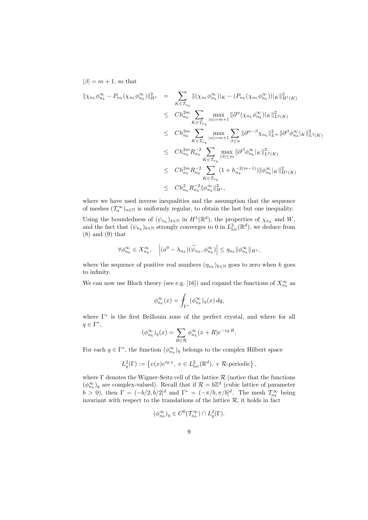$|\beta| = m + 1$ , so that

$$
\|\chi_{n_k}\phi_{n_k}^{\infty} - P_{n_k}(\chi_{n_k}\phi_{n_k}^{\infty})\|_{H^1}^2 = \sum_{K \in \mathcal{T}_{n_k}} \|(\chi_{n_k}\phi_{n_k}^{\infty})|_K - (P_{n_k}(\chi_{n_k}\phi_{n_k}^{\infty}))|_K\|_{H^1(K)}^2
$$
  
\n
$$
\leq Ch_{n_k}^{2m} \sum_{K \in \mathcal{T}_{n_k}} \max_{|\alpha|=m+1} \|\partial^{\alpha}(\chi_{n_k}\phi_{n_k}^{\infty})|_K\|_{L^2(K)}^2
$$
  
\n
$$
\leq Ch_{n_k}^{2m} \sum_{K \in \mathcal{T}_{n_k}} \max_{|\alpha|=m+1} \sum_{\beta \leq \alpha} \|\partial^{\alpha-\beta}\chi_{n_k}\|_{L^{\infty}}^2 \|\partial^{\beta}\phi_{n_k}^{\infty}|_K\|_{L^2(K)}^2
$$
  
\n
$$
\leq Ch_{n_k}^{2m} R_{n_k}^{-2} \sum_{K \in \mathcal{T}_{n_k}} \max_{|\beta| \leq m} \|\partial^{\beta}\phi_{n_k}^{\infty}|_K\|_{L^2(K)}^2
$$
  
\n
$$
\leq Ch_{n_k}^{2m} R_{n_k}^{-2} \sum_{K \in \mathcal{T}_{n_k}} (1 + h_{n_k}^{-2(m-1)}) \|\phi_{n_k}^{\infty}|_K\|_{H^1(K)}^2
$$
  
\n
$$
\leq Ch_{n_k}^{2m} R_{n_k}^{-2} \|\phi_{n_k}^{\infty}\|_{H^1}^2,
$$

where we have used inverse inequalities and the assumption that the sequence of meshes  $(\mathcal{T}_n^{\infty})_{n\in\mathbb{N}}$  is uniformly regular, to obtain the last but one inequality. Using the boundedness of  $(\psi_{n_k})_{k \in \mathbb{N}}$  in  $H^1(\mathbb{R}^d)$ , the properties of  $\chi_{n_k}$  and  $W$ , and the fact that  $(\psi_{n_k})_{k \in \mathbb{N}}$  strongly converges to 0 in  $L^2_{\text{loc}}(\mathbb{R}^d)$ , we deduce from (8) and (9) that

$$
\forall \phi_{n_k}^{\infty} \in X_{n_k}^{\infty}, \quad \left| (a^0 - \lambda_{n_k})(\widetilde{\psi}_{n_k}, \phi_{n_k}^{\infty}) \right| \leq \eta_{n_k} ||\phi_{n_k}^{\infty}||_{H^1},
$$

where the sequence of positive real numbers  $(\eta_{n_k})_{k \in \mathbb{N}}$  goes to zero when k goes to infinity.

We can now use Bloch theory (see e.g. [16]) and expand the functions of  $X_{n_k}^{\infty}$  as

$$
\phi_{n_k}^{\infty}(x) = \int_{\Gamma^*} (\phi_{n_k}^{\infty})_q(x) \, dq,
$$

where Γ<sup>∗</sup> is the first Brillouin zone of the perfect crystal, and where for all  $q \in \Gamma^*,$ 

$$
(\phi_{n_k}^{\infty})_q(x) = \sum_{R \in \mathcal{R}} \phi_{n_k}^{\infty}(x+R)e^{-iq \cdot R}.
$$

For each  $q \in \Gamma^*$ , the function  $(\phi_{n_k}^{\infty})_q$  belongs to the complex Hilbert space

$$
L_q^2(\Gamma) := \left\{ v(x)e^{iq \cdot x}, \ v \in L^2_{\text{loc}}(\mathbb{R}^d), \ v \ \mathcal{R}\text{-periodic} \right\},\
$$

where  $\Gamma$  denotes the Wigner-Seitz cell of the lattice  $\mathcal R$  (notice that the functions  $(\phi_{n_k}^{\infty})_q$  are complex-valued). Recall that if  $\mathcal{R} = b\mathbb{Z}^d$  (cubic lattice of parameter  $b > 0$ ), then  $\Gamma = (-b/2, b/2]^d$  and  $\Gamma^* = (-\pi/b, \pi/b]^d$ . The mesh  $\mathcal{T}_{n_k}^{\infty}$  being invariant with respect to the translations of the lattice  $\mathcal{R}$ , it holds in fact

$$
(\phi_{n_k}^{\infty})_q \in C^0(\mathcal{T}_{n_k}^{\infty}) \cap L_q^2(\Gamma).
$$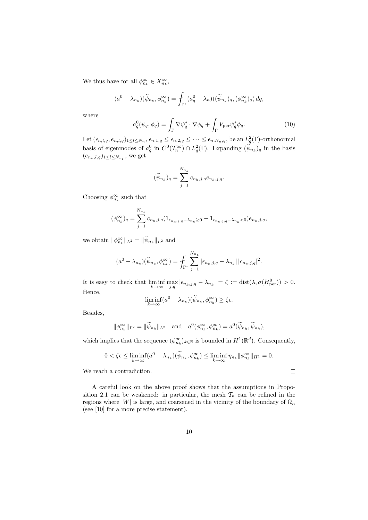We thus have for all  $\phi_{n_k}^{\infty} \in X_{n_k}^{\infty}$ ,

$$
(a^0 - \lambda_{n_k})(\widetilde{\psi}_{n_k}, \phi_{n_k}^{\infty}) = \int_{\Gamma^*} (a_q^0 - \lambda_n)((\widetilde{\psi}_{n_k})_q, (\phi_{n_k}^{\infty})_q) dq,
$$

where

$$
a_q^0(\psi_q, \phi_q) = \int_{\Gamma} \nabla \psi_q^* \cdot \nabla \phi_q + \int_{\Gamma} V_{\text{per}} \psi_q^* \phi_q.
$$
 (10)

Let  $(\epsilon_{n,l,q},e_{n,l,q})_{1\leq l\leq N_n}, \epsilon_{n,1,q}\leq\epsilon_{n,2,q}\leq\cdots\leq\epsilon_{n,N_n,q}$ , be an  $L^2_q(\Gamma)$ -orthonormal basis of eigenmodes of  $a_q^0$  in  $C^0(\mathcal{T}_n^{\infty}) \cap L_q^2(\Gamma)$ . Expanding  $(\psi_{n_k})_q$  in the basis  $(e_{n_k,l,q})_{1 \leq l \leq N_{n_k}}$ , we get

$$
(\widetilde{\psi}_{n_k})_q = \sum_{j=1}^{N_{n_k}} c_{n_k,j,q} e_{n_k,j,q}.
$$

Choosing  $\phi_{n_k}^{\infty}$  such that

$$
(\phi_{n_k}^{\infty})_q = \sum_{j=1}^{N_{n_k}} c_{n_k,j,q} (1_{\epsilon_{n_k,j,q}-\lambda_{n_k}\geq 0} - 1_{\epsilon_{n_k,j,q}-\lambda_{n_k}<0}) e_{n_k,j,q},
$$

we obtain  $\|\phi_{n_k}^{\infty}\|_{L^2} = \|\psi_{n_k}\|_{L^2}$  and

$$
(a^{0} - \lambda_{n_{k}})(\widetilde{\psi}_{n_{k}}, \phi_{n_{k}}^{\infty}) = \int_{\Gamma^{*}} \sum_{j=1}^{N_{n_{k}}} |\epsilon_{n_{k},j,q} - \lambda_{n_{k}}| \, |c_{n_{k},j,q}|^{2}.
$$

It is easy to check that  $\liminf_{k \to \infty} \max_{j,q} |\epsilon_{n_k,j,q} - \lambda_{n_k}| = \zeta := \text{dist}(\lambda, \sigma(H_{\text{per}}^0)) > 0.$ Hence,

$$
\liminf_{k \to \infty} (a^0 - \lambda_{n_k})(\widetilde{\psi}_{n_k}, \phi_{n_k}^{\infty}) \ge \zeta \epsilon.
$$

Besides,

$$
\|\phi_{n_k}^{\infty}\|_{L^2} = \|\widetilde{\psi}_{n_k}\|_{L^2} \quad \text{and} \quad a^0(\phi_{n_k}^{\infty}, \phi_{n_k}^{\infty}) = a^0(\widetilde{\psi}_{n_k}, \widetilde{\psi}_{n_k}),
$$

which implies that the sequence  $(\phi_{n_k}^{\infty})_{k \in \mathbb{N}}$  is bounded in  $H^1(\mathbb{R}^d)$ . Consequently,

$$
0 < \zeta \epsilon \le \liminf_{k \to \infty} (a^0 - \lambda_{n_k})(\widetilde{\psi}_{n_k}, \phi_{n_k}^{\infty}) \le \liminf_{k \to \infty} \eta_{n_k} ||\phi_{n_k}^{\infty}||_{H^1} = 0.
$$

 $\Box$ 

We reach a contradiction.

A careful look on the above proof shows that the assumptions in Proposition 2.1 can be weakened: in particular, the mesh  $\mathcal{T}_n$  can be refined in the regions where  $|W|$  is large, and coarsened in the vicinity of the boundary of  $\Omega_n$ (see [10] for a more precise statement).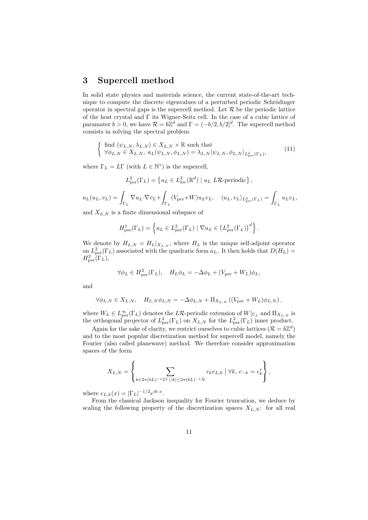### 3 Supercell method

In solid state physics and materials science, the current state-of-the-art technique to compute the discrete eigenvalues of a perturbed periodic Schrödinger operator in spectral gaps is the supercell method. Let  $R$  be the periodic lattice of the host crystal and  $\Gamma$  its Wigner-Seitz cell. In the case of a cubic lattice of paramater  $b > 0$ , we have  $\mathcal{R} = b\mathbb{Z}^d$  and  $\Gamma = (-b/2, b/2]^d$ . The supercell method consists in solving the spectral problem

$$
\begin{cases} \text{ find } (\psi_{L,N}, \lambda_{L,N}) \in X_{L,N} \times \mathbb{R} \text{ such that} \\ \forall \phi_{L,N} \in X_{L,N}, \ a_L(\psi_{L,N}, \phi_{L,N}) = \lambda_{L,N} \langle \psi_{L,N}, \phi_{L,N} \rangle_{L^2_{\text{per}}(\Gamma_L)}, \end{cases} (11)
$$

where  $\Gamma_L = L\Gamma$  (with  $L \in \mathbb{N}^*$ ) is the supercell,

$$
L_{\text{per}}^2(\Gamma_L) = \left\{ u_L \in L_{\text{loc}}^2(\mathbb{R}^d) \mid u_L \, L\mathcal{R}\text{-periodic} \right\},\,
$$

$$
a_L(u_L, v_L) = \int_{\Gamma_L} \nabla u_L \cdot \nabla v_L + \int_{\Gamma_L} (V_{\text{per}} + W) u_L v_L, \quad \langle u_L, v_L \rangle_{L^2_{\text{per}}(\Gamma_L)} = \int_{\Gamma_L} u_L v_L,
$$

and  $X_{L,N}$  is a finite dimensional subspace of

$$
H_{\text{per}}^1(\Gamma_L) = \left\{ u_L \in L_{\text{per}}^2(\Gamma_L) \mid \nabla u_L \in \left( L_{\text{per}}^2(\Gamma_L) \right)^d \right\}.
$$

We denote by  $H_{L,N} = H_L|_{X_{L,N}}$ , where  $H_L$  is the unique self-adjoint operator on  $L^2_{\text{per}}(\Gamma_L)$  associated with the quadratic form  $a_L$ . It then holds that  $D(H_L)$  =  $H^2_{\mathrm{per}}(\Gamma_L),$ 

$$
\forall \phi_L \in H_{\text{per}}^2(\Gamma_L), \quad H_L \phi_L = -\Delta \phi_L + (V_{\text{per}} + W_L) \phi_L,
$$

and

$$
\forall \phi_{L,N} \in X_{L,N}, \quad H_{L,N} \phi_{L,N} = -\Delta \phi_{L,N} + \Pi_{X_{L,N}} \left( (V_{\mathrm{per}} + W_L) \phi_{L,N} \right),
$$

where  $W_L \in L^{\infty}_{per}(\Gamma_L)$  denotes the LR-periodic extension of  $W|_{\Gamma_L}$  and  $\Pi_{X_{L,N}}$  is the orthogonal projector of  $L^2_{\text{per}}(\Gamma_L)$  on  $X_{L,N}$  for the  $L^2_{\text{per}}(\Gamma_L)$  inner product.

Again for the sake of clarity, we restrict ourselves to cubic lattices  $(\mathcal{R} = b\mathbb{Z}^d)$ and to the most popular discretization method for supercell model, namely the Fourier (also called planewave) method. We therefore consider approximation spaces of the form

$$
X_{L,N} = \left\{ \sum_{k \in 2\pi (bL)^{-1}\mathbb{Z}^d \, | \, |k| \le 2\pi (bL)^{-1}N} c_k e_{L,k} \mid \forall k, \, c_{-k} = c_k^* \right\},
$$

where  $e_{L,k}(x) = |\Gamma_L|^{-1/2} e^{ik \cdot x}$ .

From the classical Jackson inequality for Fourier truncation, we deduce by scaling the following property of the discretization spaces  $X_{L,N}$ : for all real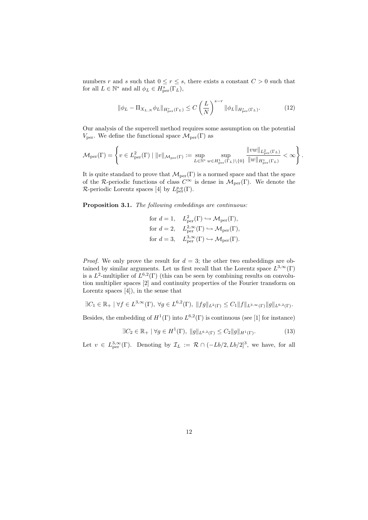numbers r and s such that  $0 \le r \le s$ , there exists a constant  $C > 0$  such that for all  $L \in \mathbb{N}^*$  and all  $\phi_L \in H^s_{\text{per}}(\Gamma_L)$ ,

$$
\|\phi_L - \Pi_{X_{L,N}} \phi_L\|_{H^r_{\text{per}}(\Gamma_L)} \le C \left(\frac{L}{N}\right)^{s-r} \|\phi_L\|_{H^s_{\text{per}}(\Gamma_L)}.
$$
 (12)

Our analysis of the supercell method requires some assumption on the potential  $V_{\text{per}}$ . We define the functional space  $\mathcal{M}_{\text{per}}(\Gamma)$  as

$$
\mathcal{M}_{\rm per}(\Gamma)=\left\{v\in L^2_{\rm per}(\Gamma)\mid \|v\|_{\mathcal{M}_{\rm per}(\Gamma)}:=\sup_{L\in\mathbb{N}^*}\sup_{w\in H^1_{\rm per}(\Gamma_L)\backslash\{0\}}\frac{\|vw\|_{L^2_{\rm per}(\Gamma_L)}}{\|w\|_{H^1_{\rm per}(\Gamma_L)}}<\infty\right\}.
$$

It is quite standard to prove that  $\mathcal{M}_{per}(\Gamma)$  is a normed space and that the space of the R-periodic functions of class  $C^{\infty}$  is dense in  $\mathcal{M}_{per}(\Gamma)$ . We denote the R-periodic Lorentz spaces [4] by  $L_{\text{per}}^{p,q}(\Gamma)$ .

Proposition 3.1. *The following embeddings are continuous:*

for 
$$
d = 1
$$
,  $L_{\text{per}}^2(\Gamma) \hookrightarrow \mathcal{M}_{\text{per}}(\Gamma)$ ,  
for  $d = 2$ ,  $L_{\text{per}}^{2,\infty}(\Gamma) \hookrightarrow \mathcal{M}_{\text{per}}(\Gamma)$ ,  
for  $d = 3$ ,  $L_{\text{per}}^{3,\infty}(\Gamma) \hookrightarrow \mathcal{M}_{\text{per}}(\Gamma)$ .

*Proof.* We only prove the result for  $d = 3$ ; the other two embeddings are obtained by similar arguments. Let us first recall that the Lorentz space  $L^{3,\infty}(\Gamma)$ is a  $L^2$ -multiplier of  $L^{6,2}(\Gamma)$  (this can be seen by combining results on convolution multiplier spaces [2] and continuity properties of the Fourier transform on Lorentz spaces [4]), in the sense that

$$
\exists C_1 \in \mathbb{R}_+ \mid \forall f \in L^{3,\infty}(\Gamma), \ \forall g \in L^{6,2}(\Gamma), \ \|fg\|_{L^2(\Gamma)} \leq C_1 \|f\|_{L^{3,\infty}(\Gamma)} \|g\|_{L^{6,2}(\Gamma)}.
$$

Besides, the embedding of  $H^1(\Gamma)$  into  $L^{6,2}(\Gamma)$  is continuous (see [1] for instance)

$$
\exists C_2 \in \mathbb{R}_+ \mid \forall g \in H^1(\Gamma), \ \|g\|_{L^{6,2}(\Gamma)} \le C_2 \|g\|_{H^1(\Gamma)}.
$$
 (13)

Let  $v \in L^{3,\infty}_{per}(\Gamma)$ . Denoting by  $\mathcal{I}_L := \mathcal{R} \cap (-Lb/2, Lb/2]^3$ , we have, for all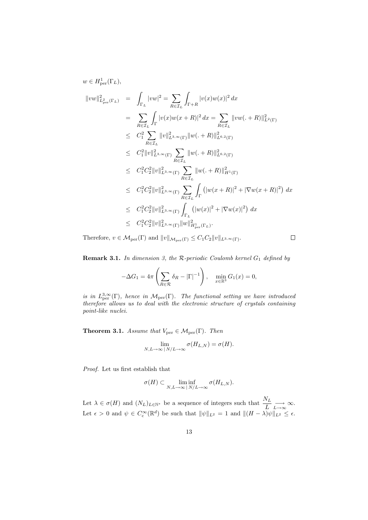$$
w \in H_{\text{per}}^1(\Gamma_L),
$$
  
\n
$$
||vw||_{L_{\text{per}}^2(\Gamma_L)}^2 = \int_{\Gamma_L} |vw|^2 = \sum_{R \in \mathcal{I}_L} \int_{\Gamma + R} |v(x)w(x)|^2 dx
$$
  
\n
$$
= \sum_{R \in \mathcal{I}_L} \int_{\Gamma} |v(x)w(x+R)|^2 dx = \sum_{R \in \mathcal{I}_L} ||vw(.+R)||_{L^2(\Gamma)}^2
$$
  
\n
$$
\leq C_1^2 \sum_{R \in \mathcal{I}_L} ||v||_{L^{3,\infty}(\Gamma)}^2 ||w(.+R)||_{L^{6,2}(\Gamma)}^2
$$
  
\n
$$
\leq C_1^2 ||v||_{L^{3,\infty}(\Gamma)}^2 \sum_{R \in \mathcal{I}_L} ||w(.+R)||_{L^{6,2}(\Gamma)}^2
$$
  
\n
$$
\leq C_1^2 C_2^2 ||v||_{L^{3,\infty}(\Gamma)}^2 \sum_{R \in \mathcal{I}_L} ||w(.+R)||_{H^1(\Gamma)}^2
$$
  
\n
$$
\leq C_1^2 C_2^2 ||v||_{L^{3,\infty}(\Gamma)}^2 \sum_{R \in \mathcal{I}_L} \int_{\Gamma} (|w(x+R)|^2 + |\nabla w(x+R)|^2) dx
$$
  
\n
$$
\leq C_1^2 C_2^2 ||v||_{L^{3,\infty}(\Gamma)}^2 \int_{\Gamma_L} (|w(x)|^2 + |\nabla w(x)|^2) dx
$$
  
\n
$$
\leq C_1^2 C_2^2 ||v||_{L^{3,\infty}(\Gamma)}^2 \int_{\Gamma_L} (|w(x)|^2 + |\nabla w(x)|^2) dx
$$
  
\n
$$
\leq C_1^2 C_2^2 ||v||_{L^{3,\infty}(\Gamma)}^2 ||w||_{H_{\text{per}}(\Gamma_L)}^2.
$$

Therefore,  $v \in \mathcal{M}_{per}(\Gamma)$  and  $||v||_{\mathcal{M}_{per}(\Gamma)} \leq C_1C_2||v||_{L^{3,\infty}(\Gamma)}$ .

**Remark 3.1.** In dimension 3, the R-periodic Coulomb kernel  $G_1$  defined by

 $\Box$ 

$$
-\Delta G_1 = 4\pi \left( \sum_{R \in \mathcal{R}} \delta_R - |\Gamma|^{-1} \right), \quad \min_{x \in \mathbb{R}^3} G_1(x) = 0,
$$

*is in*  $L^{3,\infty}_{per}(\Gamma)$ *, hence in*  $M_{per}(\Gamma)$ *. The functional setting we have introduced therefore allows us to deal with the electronic structure of crystals containing point-like nuclei.*

**Theorem 3.1.** *Assume that*  $V_{\text{per}} \in \mathcal{M}_{\text{per}}(\Gamma)$ *. Then* 

$$
\lim_{N,L\to\infty} \lim_{N/L\to\infty} \sigma(H_{L,N}) = \sigma(H).
$$

*Proof.* Let us first establish that

$$
\sigma(H) \subset \liminf_{N,L \to \infty} \inf_{N/L \to \infty} \sigma(H_{L,N}).
$$

Let  $\lambda \in \sigma(H)$  and  $(N_L)_{L \in \mathbb{N}^*}$  be a sequence of integers such that  $\frac{N_L}{L} \longrightarrow_{\infty} \infty$ . Let  $\epsilon > 0$  and  $\psi \in C_c^{\infty}(\mathbb{R}^d)$  be such that  $\|\psi\|_{L^2} = 1$  and  $\|(H - \lambda)\psi\|_{L^2} \leq \epsilon$ .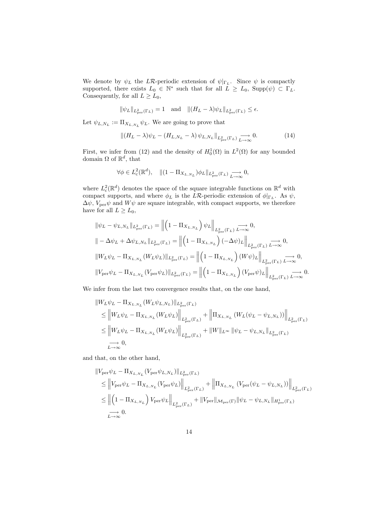We denote by  $\psi_L$  the LR-periodic extension of  $\psi|_{\Gamma_L}$ . Since  $\psi$  is compactly supported, there exists  $L_0 \in \mathbb{N}^*$  such that for all  $L \ge L_0$ ,  $\text{Supp}(\psi) \subset \Gamma_L$ . Consequently, for all  $L \ge L_0$ ,

$$
\|\psi_L\|_{L^2_{\text{per}}(\Gamma_L)} = 1 \quad \text{and} \quad \|(H_L - \lambda)\psi_L\|_{L^2_{\text{per}}(\Gamma_L)} \le \epsilon.
$$

Let  $\psi_{L,N_L} := \Pi_{X_{L,N_L}} \psi_L$ . We are going to prove that

$$
\left\| (H_L - \lambda) \psi_L - (H_{L, N_L} - \lambda) \psi_{L, N_L} \right\|_{L^2_{\text{per}}(\Gamma_L)} \xrightarrow[L \to \infty]{} 0. \tag{14}
$$

First, we infer from (12) and the density of  $H_0^1(\Omega)$  in  $L^2(\Omega)$  for any bounded domain  $\Omega$  of  $\mathbb{R}^d$ , that

$$
\forall \phi \in L_c^2(\mathbb{R}^d), \quad \| (1 - \Pi_{X_{L,N_L}}) \phi_L \|_{L_{\text{per}}^2(\Gamma_L)} \xrightarrow[L \to \infty]{} 0,
$$

where  $L^2_c(\mathbb{R}^d)$  denotes the space of the square integrable functions on  $\mathbb{R}^d$  with compact supports, and where  $\phi_L$  is the LR-periodic extension of  $\phi|_{\Gamma_L}$ . As  $\psi$ ,  $\Delta \psi$ ,  $V_{\text{per}} \psi$  and  $W \psi$  are square integrable, with compact supports, we therefore have for all  $L \geq L_0$ ,

$$
\begin{split} &\|\psi_L - \psi_{L,N_L}\|_{L^2_{\text{per}}(\Gamma_L)} = \left\|\left(1-\Pi_{X_{L,N_L}}\right) \psi_L\right\|_{L^2_{\text{per}}(\Gamma_L)} \xrightarrow{L \to \infty} 0, \\ &\| - \Delta \psi_L + \Delta \psi_{L,N_L} \|_{L^2_{\text{per}}(\Gamma_L)} = \left\|\left(1-\Pi_{X_{L,N_L}}\right)(-\Delta \psi)_L\right\|_{L^2_{\text{per}}(\Gamma_L)} \xrightarrow{L \to \infty} 0, \\ &\|W_L \psi_L - \Pi_{X_{L,N_L}}(W_L \psi_L)\|_{L^2_{\text{per}}(\Gamma_L)} = \left\|\left(1-\Pi_{X_{L,N_L}}\right)(W \psi)_L\right\|_{L^2_{\text{per}}(\Gamma_L)} \xrightarrow{L \to \infty} 0, \\ &\|V_{\text{per}} \psi_L - \Pi_{X_{L,N_L}}(V_{\text{per}} \psi_L)\|_{L^2_{\text{per}}(\Gamma_L)} = \left\|\left(1-\Pi_{X_{L,N_L}}\right)(V_{\text{per}} \psi)_L\right\|_{L^2_{\text{per}}(\Gamma_L)} \xrightarrow{L \to \infty} 0. \end{split}
$$

We infer from the last two convergence results that, on the one hand,

$$
\|W_{L}\psi_{L} - \Pi_{X_{L,N_{L}}}(W_{L}\psi_{L,N_{L}})\|_{L_{\text{per}}^{2}(\Gamma_{L})}
$$
\n
$$
\leq \|W_{L}\psi_{L} - \Pi_{X_{L,N_{L}}}(W_{L}\psi_{L})\|_{L_{\text{per}}^{2}(\Gamma_{L})} + \|\Pi_{X_{L,N_{L}}}(W_{L}(\psi_{L} - \psi_{L,N_{L}}))\|_{L_{\text{per}}^{2}(\Gamma_{L})}
$$
\n
$$
\leq \|W_{L}\psi_{L} - \Pi_{X_{L,N_{L}}}(W_{L}\psi_{L})\|_{L_{\text{per}}^{2}(\Gamma_{L})} + \|W\|_{L^{\infty}} \|\psi_{L} - \psi_{L,N_{L}}\|_{L_{\text{per}}^{2}(\Gamma_{L})}
$$
\n
$$
\xrightarrow[L \to \infty]{} 0,
$$

and that, on the other hand,

$$
\|V_{\text{per}}\psi_L - \Pi_{X_{L,N_L}}(V_{\text{per}}\psi_{L,N_L})\|_{L_{\text{per}}^2(\Gamma_L)}
$$
\n
$$
\leq \|V_{\text{per}}\psi_L - \Pi_{X_{L,N_L}}(V_{\text{per}}\psi_L)\|_{L_{\text{per}}^2(\Gamma_L)} + \|\Pi_{X_{L,N_L}}(V_{\text{per}}(\psi_L - \psi_{L,N_L}))\|_{L_{\text{per}}^2(\Gamma_L)}
$$
\n
$$
\leq \| (1 - \Pi_{X_{L,N_L}}) V_{\text{per}}\psi_L \|_{L_{\text{per}}^2(\Gamma_L)} + \|V_{\text{per}}\|_{\mathcal{M}_{\text{per}}(\Gamma)} \|\psi_L - \psi_{L,N_L}\|_{H_{\text{per}}^1(\Gamma_L)}
$$
\n
$$
\longrightarrow 0.
$$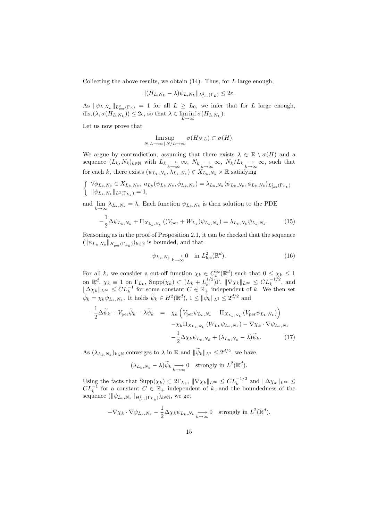Collecting the above results, we obtain  $(14)$ . Thus, for L large enough,

$$
|| (H_{L,N_L} - \lambda) \psi_{L,N_L} ||_{L^2_{\text{per}}(\Gamma_L)} \leq 2\varepsilon.
$$

As  $\|\psi_{L,N_L}\|_{L^2_{per}(\Gamma_L)} = 1$  for all  $L \ge L_0$ , we infer that for L large enough,  $dist(\lambda, \sigma(H_{L,N_L})) \leq 2\epsilon$ , so that  $\lambda \in \liminf_{L \to \infty} \sigma(H_{L,N_L}).$ 

Let us now prove that

$$
\limsup_{N,L\to\infty} \sigma(H_{N,L}) \subset \sigma(H).
$$

We argue by contradiction, assuming that there exists  $\lambda \in \mathbb{R} \setminus \sigma(H)$  and a sequence  $(L_k, N_k)_{k \in \mathbb{N}}$  with  $L_k \underset{k \to \infty}{\to} \infty$ ,  $N_k \underset{k \to \infty}{\to} \infty$ ,  $N_k/L_k \underset{k \to \infty}{\to} \infty$ , such that for each k, there exists  $(\psi_{L_k,N_k}, \lambda_{L_k,N_k}) \in X_{L_k,N_k} \times \mathbb{R}$  satisfying

$$
\left\{\begin{array}{l} \forall \phi_{L_k,N_k} \in X_{L_k,N_k}, \; a_{L_k}(\psi_{L_k,N_k},\phi_{L_k,N_k}) = \lambda_{L_k,N_k} \langle \psi_{L_k,N_k},\phi_{L_k,N_k} \rangle_{L^2_{\text{per}}(\Gamma_{L_k})} \\ \|\psi_{L_k,N_k}\|_{L^2(\Gamma_{L_k})}=1, \end{array}\right.
$$

and  $\lim_{k \to \infty} \lambda_{L_k, N_k} = \lambda$ . Each function  $\psi_{L_k, N_k}$  is then solution to the PDE

$$
-\frac{1}{2}\Delta\psi_{L_k,N_k} + \Pi_{X_{L_k,N_k}}((V_{\text{per}} + W_{L_k})\psi_{L_k,N_k}) = \lambda_{L_k,N_k}\psi_{L_k,N_k}.
$$
 (15)

Reasoning as in the proof of Proposition 2.1, it can be checked that the sequence  $(\|\psi_{L_k,N_k}\|_{H^1_{\text{per}}(\Gamma_{L_k})})_{k\in\mathbb{N}}$  is bounded, and that

$$
\psi_{L_k, N_k} \underset{k \to \infty}{\longrightarrow} 0 \quad \text{in } L^2_{\text{loc}}(\mathbb{R}^d). \tag{16}
$$

For all k, we consider a cut-off function  $\chi_k \in C_c^{\infty}(\mathbb{R}^d)$  such that  $0 \leq \chi_k \leq 1$ on  $\mathbb{R}^d$ ,  $\chi_k \equiv 1$  on  $\Gamma_{L_k}$ ,  $\text{Supp}(\chi_k) \subset (L_k + L_k^{1/2})$ <sup>1/2</sup>)Γ,  $\|\nabla \chi_k\|_{L^∞} \leq CL_k^{-1/2}$ , and  $\|\Delta \chi_k\|_{L^\infty} \leq CL_k^{-1}$  for some constant  $C \in \mathbb{R}^+$  independent of k. We then set  $\psi_k = \chi_k \psi_{L_k, N_k}$ . It holds  $\psi_k \in H^2(\mathbb{R}^d)$ ,  $1 \leq ||\psi_k||_{L^2} \leq 2^{d/2}$  and

$$
-\frac{1}{2}\Delta\widetilde{\psi}_{k} + V_{\text{per}}\widetilde{\psi}_{k} - \lambda \widetilde{\psi}_{k} = \chi_{k}\left(V_{\text{per}}\psi_{L_{k},N_{k}} - \Pi_{X_{L_{k},N_{k}}}(V_{\text{per}}\psi_{L_{k},N_{k}})\right) - \chi_{k}\Pi_{X_{L_{k},N_{k}}}(W_{L_{k}}\psi_{L_{k},N_{k}}) - \nabla\chi_{k} \cdot \nabla\psi_{L_{k},N_{k}} -\frac{1}{2}\Delta\chi_{k}\psi_{L_{k},N_{k}} + (\lambda_{L_{k},N_{k}} - \lambda)\widetilde{\psi}_{k}.
$$
 (17)

As  $(\lambda_{L_k,N_k})_{k\in\mathbb{N}}$  converges to  $\lambda$  in  $\mathbb R$  and  $\|\psi_k\|_{L^2} \leq 2^{d/2}$ , we have

$$
(\lambda_{L_k,N_k} - \lambda)\widetilde{\psi}_k \underset{k \to \infty}{\longrightarrow} 0 \text{ strongly in } L^2(\mathbb{R}^d).
$$

Using the facts that  $\text{Supp}(\chi_k) \subset 2\Gamma_{L_k}$ ,  $\|\nabla \chi_k\|_{L^\infty} \leq CL_k^{-1/2}$  and  $\|\Delta \chi_k\|_{L^\infty} \leq$  $CL<sub>k</sub><sup>-1</sup>$  for a constant  $C \in \mathbb{R}_{+}$  independent of k, and the boundedness of the sequence  $(\|\psi_{L_k,N_k}\|_{H^1_{\mathrm{per}}(\Gamma_{L_k})})_{k\in\mathbb{N}}$ , we get

$$
-\nabla \chi_k \cdot \nabla \psi_{L_k, N_k} - \frac{1}{2} \Delta \chi_k \psi_{L_k, N_k} \underset{k \to \infty}{\longrightarrow} 0 \quad \text{strongly in } L^2(\mathbb{R}^d).
$$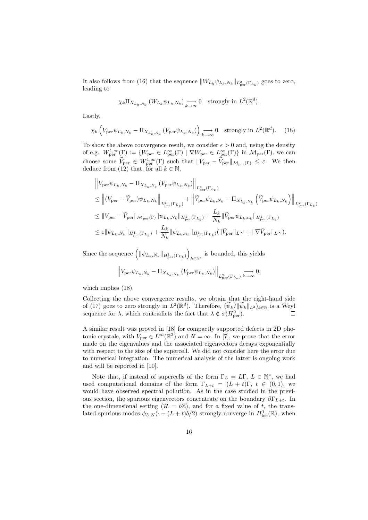It also follows from (16) that the sequence  $||W_{L_k}\psi_{L_k,N_k}||_{L_{per}^2(\Gamma_{L_k})}$  goes to zero, leading to

$$
\chi_k \Pi_{X_{L_k, N_k}} (W_{L_k} \psi_{L_k, N_k}) \longrightarrow_{k \to \infty} 0
$$
 strongly in  $L^2(\mathbb{R}^d)$ .

Lastly,

$$
\chi_k \left( V_{\text{per}} \psi_{L_k, N_k} - \Pi_{X_{L_k, N_k}} \left( V_{\text{per}} \psi_{L_k, N_k} \right) \right) \underset{k \to \infty}{\longrightarrow} 0 \quad \text{strongly in } L^2(\mathbb{R}^d). \tag{18}
$$

To show the above convergence result, we consider  $\epsilon > 0$  and, using the density of e.g.  $W^{1,\infty}_{\text{per}}(\Gamma) := \{W_{\text{per}} \in L^{\infty}_{\text{per}}(\Gamma) \mid \nabla W_{\text{per}} \in L^{\infty}_{\text{per}}(\Gamma) \}$  in  $\mathcal{M}_{\text{per}}(\Gamma)$ , we can choose some  $V_{\text{per}} \in W^{1,\infty}_{\text{per}}(\Gamma)$  such that  $||V_{\text{per}} - V_{\text{per}}||_{\mathcal{M}_{\text{per}}(\Gamma)} \leq \varepsilon$ . We then deduce from (12) that, for all  $k \in \mathbb{N}$ ,

$$
\label{eq:Vper} \begin{aligned} &\left\|V_{\text{per}}\psi_{L_k,N_k}-\Pi_{X_{L_k,N_k}}\left(V_{\text{per}}\psi_{L_k,N_k}\right)\right\|_{L_{\text{per}}^2(\Gamma_{L_k})}\\ &\leq \left\|(V_{\text{per}}-\tilde{V}_{\text{per}})\psi_{L_k,N_k}\right\|_{L_{\text{per}}^2(\Gamma_{L_k})}+\left\|\tilde{V}_{\text{per}}\psi_{L_k,N_k}-\Pi_{X_{L_k,N_k}}\left(\tilde{V}_{\text{per}}\psi_{L_k,N_k}\right)\right\|_{L_{\text{per}}^2(\Gamma_{L_k})}\\ &\leq \|V_{\text{per}}-\tilde{V}_{\text{per}}\|_{\mathcal{M}_{\text{per}}(\Gamma)}\|\psi_{L_k,N_k}\|_{H_{\text{per}}^1(\Gamma_{L_k})}+\frac{L_k}{N_k}\|\tilde{V}_{\text{per}}\psi_{L_k,n_k}\|_{H_{\text{per}}^1(\Gamma_{L_k})}\\ &\leq \varepsilon\|\psi_{L_k,N_k}\|_{H_{\text{per}}^1(\Gamma_{L_k})}+\frac{L_k}{N_k}\|\psi_{L_k,n_k}\|_{H_{\text{per}}^1(\Gamma_{L_k})}(\|\tilde{V}_{\text{per}}\|_{L^\infty}+\|\nabla \tilde{V}_{\text{per}}\|_{L^\infty}). \end{aligned}
$$

Since the sequence  $\left( \Vert \psi_{L_k,N_k} \Vert_{H^1_{\text{per}}(\Gamma_{L_k})} \right)$  $k \in \mathbb{N}^*$  is bounded, this yields

$$
\left\| V_{\text{per}} \psi_{L_k,N_k} - \Pi_{X_{L_k,N_k}} \left( V_{\text{per}} \psi_{L_k,N_k} \right) \right\|_{L^2_{\text{per}}(\Gamma_{L_k})} \underset{k \to \infty}{\longrightarrow} 0,
$$

which implies  $(18)$ .

Collecting the above convergence results, we obtain that the right-hand side of (17) goes to zero strongly in  $L^2(\mathbb{R}^d)$ . Therefore,  $(\psi_k/||\psi_k||_{L^2})_{k\in\mathbb{N}}$  is a Weyl sequence for  $\lambda$ , which contradicts the fact that  $\lambda \notin \sigma(H_{\text{per}}^0)$ .

A similar result was proved in [18] for compactly supported defects in 2D photonic crystals, with  $V_{\text{per}} \in L^{\infty}(\mathbb{R}^2)$  and  $N = \infty$ . In [7], we prove that the error made on the eigenvalues and the associated eigenvectors decays exponentially with respect to the size of the supercell. We did not consider here the error due to numerical integration. The numerical analysis of the latter is ongoing work and will be reported in [10].

Note that, if instead of supercells of the form  $\Gamma_L = L\Gamma, L \in \mathbb{N}^*$ , we had used computational domains of the form  $\Gamma_{L+t} = (L + t)\Gamma, t \in (0,1)$ , we would have observed spectral pollution. As in the case studied in the previous section, the spurious eigenvectors concentrate on the boundary  $\partial \Gamma_{L+t}$ . In the one-dimensional setting  $(R = b\mathbb{Z})$ , and for a fixed value of t, the translated spurious modes  $\phi_{L,N}(\cdot-(L+t)b/2)$  strongly converge in  $H^1_{loc}(\mathbb{R})$ , when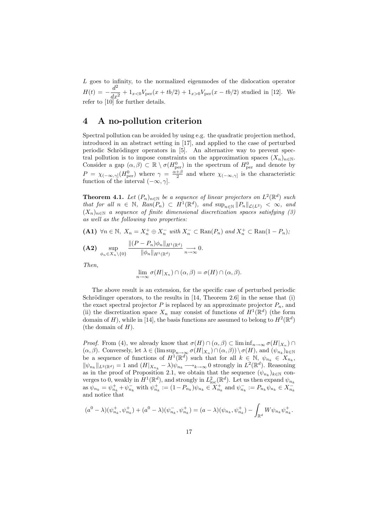L goes to infinity, to the normalized eigenmodes of the dislocation operator  $H(t) = -\frac{d^2}{dt^2}$  $\frac{d}{dx^2} + 1_{x<0}V_{\text{per}}(x+tb/2) + 1_{x>0}V_{\text{per}}(x-tb/2)$  studied in [12]. We refer to [10] for further details.

### 4 A no-pollution criterion

Spectral pollution can be avoided by using e.g. the quadratic projection method, introduced in an abstract setting in [17], and applied to the case of perturbed periodic Schrödinger operators in  $[5]$ . An alternative way to prevent spectral pollution is to impose constraints on the approximation spaces  $(X_n)_{n\in\mathbb{N}}$ . Consider a gap  $(\alpha, \beta) \subset \mathbb{R} \setminus \sigma(H_{\text{per}}^0)$  in the spectrum of  $H_{\text{per}}^0$  and denote by  $P = \chi_{(-\infty,\gamma]}(H_{\text{per}}^0)$  where  $\gamma = \frac{\alpha+\beta}{2}$  and where  $\chi_{(-\infty,\gamma]}$  is the characteristic function of the interval  $(-\infty, \gamma]$ .

**Theorem 4.1.** Let  $(P_n)_{n \in \mathbb{N}}$  be a sequence of linear projectors on  $L^2(\mathbb{R}^d)$  such *that for all*  $n \in \mathbb{N}$ ,  $\text{Ran}(P_n) \subset H^1(\mathbb{R}^d)$ , and  $\sup_{n \in \mathbb{N}} ||P_n||_{\mathcal{L}(L^2)} < \infty$ , and (Xn)n∈<sup>N</sup> *a sequence of finite dimensional discretization spaces satisfying (3) as well as the following two properties:*

(A1) ∀n ∈ N,  $X_n = X_n^+ \oplus X_n^-$  with  $X_n^- \subset \text{Ran}(P_n)$  and  $X_n^+ \subset \text{Ran}(1 - P_n)$ ;

$$
\textbf{(A2)}\ \ \sup_{\phi_n\in X_n\setminus\{0\}}\frac{\|(P-P_n)\phi_n\|_{H^1(\mathbb{R}^d)}}{\|\phi_n\|_{H^1(\mathbb{R}^d)}}\underset{n\to\infty}{\longrightarrow}0.
$$

*Then,*

$$
\lim_{n \to \infty} \sigma(H|_{X_n}) \cap (\alpha, \beta) = \sigma(H) \cap (\alpha, \beta).
$$

The above result is an extension, for the specific case of perturbed periodic Schrödinger operators, to the results in  $[14,$  Theorem 2.6] in the sense that (i) the exact spectral projector  $P$  is replaced by an approximate projector  $P_n$ , and (ii) the discretization space  $X_n$  may consist of functions of  $H^1(\mathbb{R}^d)$  (the form domain of H), while in [14], the basis functions are assumed to belong to  $H^2(\mathbb{R}^d)$ (the domain of  $H$ ).

*Proof.* From (4), we already know that  $\sigma(H) \cap (\alpha, \beta) \subset \liminf_{n \to \infty} \sigma(H|_{X_n}) \cap$  $(\alpha, \beta)$ . Conversely, let  $\lambda \in (\limsup_{n \to \infty} \sigma(H|_{X_n}) \cap (\alpha, \beta)) \setminus \sigma(H)$ , and  $(\psi_{n_k})_{k \in \mathbb{N}}$ be a sequence of functions of  $H^1(\mathbb{R}^d)$  such that for all  $k \in \mathbb{N}$ ,  $\psi_{n_k} \in X_{n_k}$ ,  $\|\psi_{n_k}\|_{L^2(\mathbb{R}^d)} = 1$  and  $(H|_{X_{n_k}} - \lambda)\psi_{n_k} \longrightarrow_{k \to \infty} 0$  strongly in  $L^2(\mathbb{R}^d)$ . Reasoning as in the proof of Proposition 2.1, we obtain that the sequence  $(\psi_{n_k})_{k\in\mathbb{N}}$  converges to 0, weakly in  $H^1(\mathbb{R}^d)$ , and strongly in  $L^2_{\text{loc}}(\mathbb{R}^d)$ . Let us then expand  $\psi_{n_k}$ as  $\psi_{n_k} = \psi_{n_k}^+ + \psi_{n_k}^-$  with  $\psi_{n_k}^+ := (1 - P_{n_k})\psi_{n_k} \in X_{n_k}^+$  and  $\psi_{n_k}^- := P_{n_k}\psi_{n_k} \in X_{n_k}^$ and notice that

$$
(a^{0} - \lambda)(\psi_{n_{k}}^{+}, \psi_{n_{k}}^{+}) + (a^{0} - \lambda)(\psi_{n_{k}}^{-}, \psi_{n_{k}}^{+}) = (a - \lambda)(\psi_{n_{k}}, \psi_{n_{k}}^{+}) - \int_{\mathbb{R}^{d}} W \psi_{n_{k}} \psi_{n_{k}}^{+}.
$$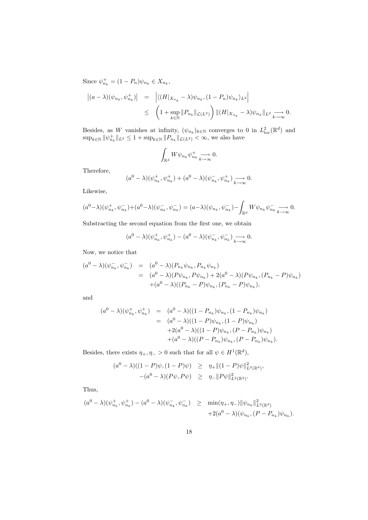Since  $\psi_{n_k}^+ = (1 - P_n)\psi_{n_k} \in X_{n_k},$ 

$$
\begin{array}{rcl} \left| (a-\lambda)(\psi_{n_k},\psi_{n_k}^+) \right| & = & \left| \langle (H|_{X_{n_k}}-\lambda)\psi_{n_k},(1-P_n)\psi_{n_k} \rangle_{L^2} \right| \\ & \leq & \left( 1+\sup_{k\in\mathbb{N}} \|P_{n_k}\|_{\mathcal{L}(L^2)} \right) \|(H|_{X_{n_k}}-\lambda)\psi_{n_k}\|_{L^2} \underset{k\to\infty}{\longrightarrow} 0. \end{array}
$$

Besides, as W vanishes at infinity,  $(\psi_{n_k})_{k \in \mathbb{N}}$  converges to 0 in  $L^2_{loc}(\mathbb{R}^d)$  and  $\sup_{k \in \mathbb{N}} ||\psi_{n_k}^+||_{L^2} \leq 1 + \sup_{k \in \mathbb{N}} ||P_{n_k}||_{\mathcal{L}(L^2)} < \infty$ , we also have

$$
\int_{\mathbb{R}^d} W \psi_{n_k} \psi_{n_k}^+ \underset{k \to \infty}{\longrightarrow} 0.
$$

Therefore,

$$
(a^{0} - \lambda)(\psi_{n_{k}}^{+}, \psi_{n_{k}}^{+}) + (a^{0} - \lambda)(\psi_{n_{k}}^{-}, \psi_{n_{k}}^{+}) \longrightarrow_{k \to \infty} 0.
$$

Likewise,

$$
(a^{0}-\lambda)(\psi_{n_{k}}^{+}, \psi_{n_{k}}^{-})+(a^{0}-\lambda)(\psi_{n_{k}}^{-}, \psi_{n_{k}}^{-})=(a-\lambda)(\psi_{n_{k}}, \psi_{n_{k}}^{-})-\int_{\mathbb{R}^{d}}W\psi_{n_{k}}\psi_{n_{k}}^{-}\underset{k\to\infty}{\longrightarrow}0.
$$

Substracting the second equation from the first one, we obtain

$$
(a0 - \lambda)(\psi_{n_k}^+, \psi_{n_k}^+) - (a0 - \lambda)(\psi_{n_k}^-, \psi_{n_k}^-) \underset{k \to \infty}{\longrightarrow} 0.
$$

Now, we notice that

$$
(a^{0} - \lambda)(\psi_{n_{k}}^{-}, \psi_{n_{k}}^{-}) = (a^{0} - \lambda)(P_{n_{k}}\psi_{n_{k}}, P_{n_{k}}\psi_{n_{k}})
$$
  
= 
$$
(a^{0} - \lambda)(P\psi_{n_{k}}, P\psi_{n_{k}}) + 2(a^{0} - \lambda)(P\psi_{n_{k}}, (P_{n_{k}} - P)\psi_{n_{k}})
$$
  
+
$$
(a^{0} - \lambda)((P_{n_{k}} - P)\psi_{n_{k}}, (P_{n_{k}} - P)\psi_{n_{k}}),
$$

and

$$
(a^{0} - \lambda)(\psi_{n_{k}}^{+}, \psi_{n_{k}}^{+}) = (a^{0} - \lambda)((1 - P_{n_{k}})\psi_{n_{k}}, (1 - P_{n_{k}})\psi_{n_{k}})
$$
  

$$
= (a^{0} - \lambda)((1 - P)\psi_{n_{k}}, (1 - P)\psi_{n_{k}})
$$
  

$$
+ 2(a^{0} - \lambda)((1 - P)\psi_{n_{k}}, (P - P_{n_{k}})\psi_{n_{k}})
$$
  

$$
+ (a^{0} - \lambda)((P - P_{n_{k}})\psi_{n_{k}}, (P - P_{n_{k}})\psi_{n_{k}}).
$$

Besides, there exists  $\eta_+, \eta_- > 0$  such that for all  $\psi \in H^1(\mathbb{R}^d)$ ,

$$
(a^{0} - \lambda)((1 - P)\psi, (1 - P)\psi) \ge \eta_{+} \|(1 - P)\psi\|_{L^{2}(\mathbb{R}^{d})}^{2},
$$
  

$$
-(a^{0} - \lambda)(P\psi, P\psi) \ge \eta_{-} \|P\psi\|_{L^{2}(\mathbb{R}^{d})}^{2}.
$$

Thus,

$$
(a^{0} - \lambda)(\psi_{n_{k}}^{+}, \psi_{n_{k}}^{+}) - (a^{0} - \lambda)(\psi_{n_{k}}^{-}, \psi_{n_{k}}^{-}) \geq \min(\eta_{+}, \eta_{-}) \|\psi_{n_{k}}\|_{L^{2}(\mathbb{R}^{d})}^{2} + 2(a^{0} - \lambda)(\psi_{n_{k}}, (P - P_{n_{k}})\psi_{n_{k}}).
$$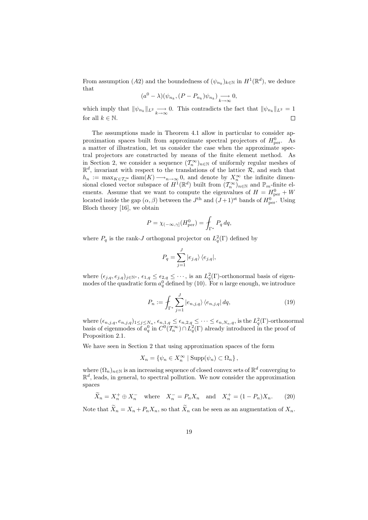From assumption (A2) and the boundedness of  $(\psi_{n_k})_{k \in \mathbb{N}}$  in  $H^1(\mathbb{R}^d)$ , we deduce that

$$
(a^0 - \lambda)(\psi_{n_k}, (P - P_{n_k})\psi_{n_k}) \underset{k \to \infty}{\longrightarrow} 0,
$$

which imply that  $\|\psi_{n_k}\|_{L^2} \to 0$ . This contradicts the fact that  $\|\psi_{n_k}\|_{L^2} = 1$ for all  $k \in \mathbb{N}$ .  $\Box$ 

The assumptions made in Theorem 4.1 allow in particular to consider approximation spaces built from approximate spectral projectors of  $H_{\text{per}}^0$ . As a matter of illustration, let us consider the case when the approximate spectral projectors are constructed by means of the finite element method. As in Section 2, we consider a sequence  $(\mathcal{T}_n^{\infty})_{n \in \mathbb{N}}$  of uniformly regular meshes of  $\mathbb{R}^d$ , invariant with respect to the translations of the lattice  $\mathcal{R}$ , and such that  $h_n := \max_{K \in \mathcal{T}_n^{\infty}} \text{diam}(K) \longrightarrow_{n \to \infty} 0$ , and denote by  $X_n^{\infty}$  the infinite dimensional closed vector subspace of  $H^1(\mathbb{R}^d)$  built from  $(\mathcal{T}_n^{\infty})_{n \in \mathbb{N}}$  and  $\mathbb{P}_m$ -finite elements. Assume that we want to compute the eigenvalues of  $H = H_{\text{per}}^0 + W$ located inside the gap  $(\alpha, \beta)$  between the  $J<sup>th</sup>$  and  $(J+1)<sup>st</sup>$  bands of  $H_{\text{per}}^0$ . Using Bloch theory [16], we obtain

$$
P = \chi_{(-\infty,\gamma]}(H^0_{\text{per}}) = \int_{\Gamma^*} P_q \, dq,
$$

where  $P_q$  is the rank-*J* orthogonal projector on  $L_q^2(\Gamma)$  defined by

$$
P_q = \sum_{j=1}^J \left| e_{j,q} \right\rangle \left\langle e_{j,q} \right|,
$$

where  $(\epsilon_{j,q}, e_{j,q})_{j \in \mathbb{N}^*}$ ,  $\epsilon_{1,q} \leq \epsilon_{2,q} \leq \cdots$ , is an  $L_q^2(\Gamma)$ -orthonormal basis of eigenmodes of the quadratic form  $a_q^0$  defined by (10). For n large enough, we introduce

$$
P_n := \int_{\Gamma^*} \sum_{j=1}^J |e_{n,j,q}\rangle \langle e_{n,j,q}| dq, \qquad (19)
$$

where  $(\epsilon_{n,j,q}, e_{n,j,q})_{1 \leq j \leq N_n}, \epsilon_{n,1,q} \leq \epsilon_{n,2,q} \leq \cdots \leq \epsilon_{n,N_n,q}$ , is the  $L_q^2(\Gamma)$ -orthonormal basis of eigenmodes of  $a_q^0$  in  $C^0(\mathcal{T}_n^{\infty}) \cap L_q^2(\Gamma)$  already introduced in the proof of Proposition 2.1.

We have seen in Section 2 that using approximation spaces of the form

$$
X_n = \{ \psi_n \in X_n^{\infty} \mid \text{Supp}(\psi_n) \subset \Omega_n \},
$$

where  $(\Omega_n)_{n\in\mathbb{N}}$  is an increasing sequence of closed convex sets of  $\mathbb{R}^d$  converging to  $\mathbb{R}^d$ , leads, in general, to spectral pollution. We now consider the approximation spaces

$$
\widetilde{X}_n = X_n^+ \oplus X_n^- \quad \text{where} \quad X_n^- = P_n X_n \quad \text{and} \quad X_n^+ = (1 - P_n) X_n. \tag{20}
$$

Note that  $\widetilde{X}_n = X_n + P_n X_n$ , so that  $\widetilde{X}_n$  can be seen as an augmentation of  $X_n$ .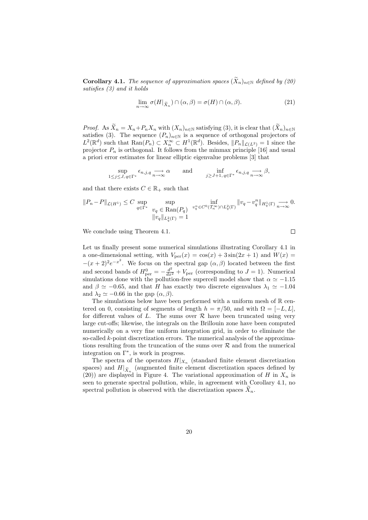**Corollary 4.1.** *The sequence of approximation spaces*  $(X_n)_{n\in\mathbb{N}}$  *defined by (20) satisfies (3) and it holds*

$$
\lim_{n \to \infty} \sigma(H|_{\widetilde{X}_n}) \cap (\alpha, \beta) = \sigma(H) \cap (\alpha, \beta).
$$
 (21)

 $\Box$ 

*Proof.* As  $\widetilde{X}_n = X_n + P_n X_n$  with  $(X_n)_{n \in \mathbb{N}}$  satisfying (3), it is clear that  $(\widetilde{X}_n)_{n \in \mathbb{N}}$ satisfies (3). The sequence  $(P_n)_{n\in\mathbb{N}}$  is a sequence of orthogonal projectors of  $L^2(\mathbb{R}^d)$  such that  $\text{Ran}(P_n) \subset X_n^{\infty} \subset H^1(\mathbb{R}^d)$ . Besides,  $||P_n||_{\mathcal{L}(L^2)} = 1$  since the projector  $P_n$  is orthogonal. It follows from the minmax principle [16] and usual a priori error estimates for linear elliptic eigenvalue problems [3] that

$$
\sup_{1 \le j \le J, q \in \Gamma^*} \epsilon_{n,j,q} \underset{n \to \infty}{\longrightarrow} \alpha \quad \text{and} \quad \inf_{j \ge J+1, q \in \Gamma^*} \epsilon_{n,j,q} \underset{n \to \infty}{\longrightarrow} \beta,
$$

and that there exists  $C \in \mathbb{R}_+$  such that

$$
\begin{array}{lll} \| P_n - P \|_{\mathcal{L}(H^1)} \leq C \sup\limits_{q \in \Gamma^*} & \sup\limits_{v_q \, \in \, \text{Ran}(P_q)} \; \inf\limits_{v_q^n \in C^0(\mathcal{T}^\infty_n) \cap L^2_q(\Gamma)} \| v_q - v_q^n \|_{H^1_q(\Gamma)} \mathop{\longrightarrow}\limits_{n \to \infty} 0. \end{array}
$$

We conclude using Theorem 4.1.

Let us finally present some numerical simulations illustrating Corollary 4.1 in a one-dimensional setting, with  $V_{\text{per}}(x) = \cos(x) + 3\sin(2x + 1)$  and  $W(x) =$  $-(x+2)^2e^{-x^2}$ . We focus on the spectral gap  $(\alpha, \beta)$  located between the first and second bands of  $H_{\text{per}}^0 = -\frac{d^2}{dx^2} + V_{\text{per}}$  (corresponding to  $J = 1$ ). Numerical simulations done with the pollution-free supercell model show that  $\alpha \simeq -1.15$ and  $\beta \simeq -0.65$ , and that H has exactly two discrete eigenvalues  $\lambda_1 \simeq -1.04$ and  $\lambda_2 \simeq -0.66$  in the gap  $(\alpha, \beta)$ .

The simulations below have been performed with a uniform mesh of  $\mathbb R$  centered on 0, consisting of segments of length  $h = \pi/50$ , and with  $\Omega = [-L, L]$ , for different values of L. The sums over  $R$  have been truncated using very large cut-offs; likewise, the integrals on the Brillouin zone have been computed numerically on a very fine uniform integration grid, in order to eliminate the so-called k-point discretization errors. The numerical analysis of the approximations resulting from the truncation of the sums over  $R$  and from the numerical integration on Γ<sup>∗</sup> , is work in progress.

The spectra of the operators  $H|_{X_n}$  (standard finite element discretization spaces) and  $H|_{\widetilde{X}_n}$  (augmented finite element discretization spaces defined by (20)) are displayed in Figure 4. The variational approximation of H in  $X_n$  is seen to generate spectral pollution, while, in agreement with Corollary 4.1, no spectral pollution is observed with the discretization spaces  $X_n$ .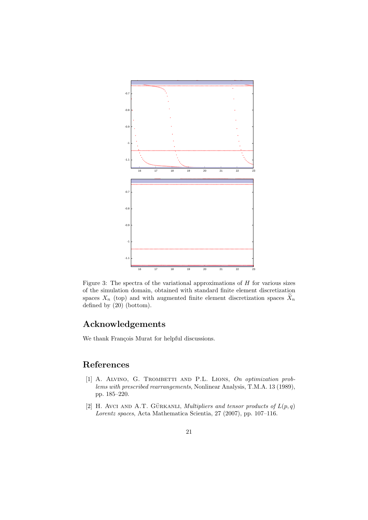

Figure 3: The spectra of the variational approximations of  $H$  for various sizes of the simulation domain, obtained with standard finite element discretization spaces  $X_n$  (top) and with augmented finite element discretization spaces  $X_n$ defined by  $(20)$  (bottom).

# Acknowledgements

We thank François Murat for helpful discussions.

# References

- [1] A. ALVINO, G. TROMBETTI AND P.L. LIONS, On optimization prob*lems with prescribed rearrangements*, Nonlinear Analysis, T.M.A. 13 (1989), pp. 185–220.
- [2] H. Avci AND A.T. GÜRKANLI, *Multipliers and tensor products of*  $L(p,q)$ *Lorentz spaces*, Acta Mathematica Scientia, 27 (2007), pp. 107–116.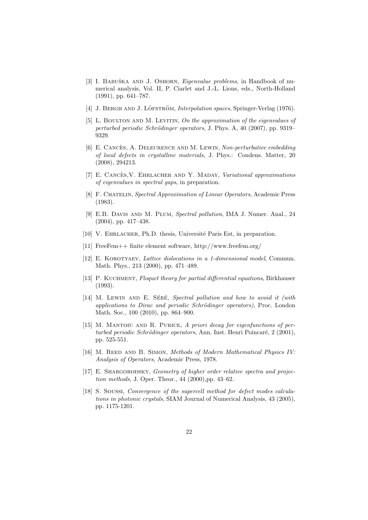- [3] I. Babuˇska and J. Osborn, *Eigenvalue problems*, in Handbook of numerical analysis, Vol. II, P. Ciarlet and J.-L. Lions, eds., North-Holland (1991), pp. 641–787.
- [4] J. BERGH AND J. LÖFSTRÖM, *Interpolation spaces*, Springer-Verlag (1976).
- [5] L. Boulton and M. Levitin, *On the approximation of the eigenvalues of perturbed periodic Schrödinger operators*, J. Phys. A, 40 (2007), pp. 9319– 9329.
- [6] E. Cances, A. Deleurence and M. Lewin ` , *Non-perturbative embedding of local defects in crystalline materials*, J. Phys.: Condens. Matter, 20 (2008), 294213.
- [7] E. CANCES, V. EHRLACHER AND Y. MADAY, *Variational approximations of eigenvalues in spectral gaps*, in preparation.
- [8] F. Chatelin, *Spectral Approximation of Linear Operators*, Academic Press (1983).
- [9] E.B. Davis and M. Plum, *Spectral pollution*, IMA J. Numer. Anal., 24 (2004), pp. 417–438.
- [10] V. EHRLACHER, Ph.D. thesis, Université Paris Est, in preparation.
- [11] FreeFem++ finite element software, http://www.freefem.org/
- [12] E. Korotyaev, *Lattice dislocations in a 1-dimensional model*, Commun. Math. Phys., 213 (2000), pp. 471–489.
- [13] P. Kuchment, *Floquet theory for partial differential equations*, Birkhauser (1993).
- [14] M. LEWIN AND E. SÉRÉ, *Spectral pollution and how to avoid it (with applications to Dirac and periodic Schr¨odinger operators)*, Proc. London Math. Soc., 100 (2010), pp. 864–900.
- [15] M. MANTOIU AND R. PURICE, *A priori decay for eigenfunctions of perturbed periodic Schrödinger operators*, Ann. Inst. Henri Poincaré, 2 (2001), pp. 525-551.
- [16] M. REED AND B. SIMON, *Methods of Modern Mathematical Physics IV: Analysis of Operators*, Academic Press, 1978.
- [17] E. SHARGORODSKY, *Geometry of higher order relative spectra and projection methods*, J. Oper. Theor., 44 (2000),pp. 43–62.
- [18] S. Soussi, *Convergence of the supercell method for defect modes calculations in photonic crystals*, SIAM Journal of Numerical Analysis, 43 (2005), pp. 1175-1201.